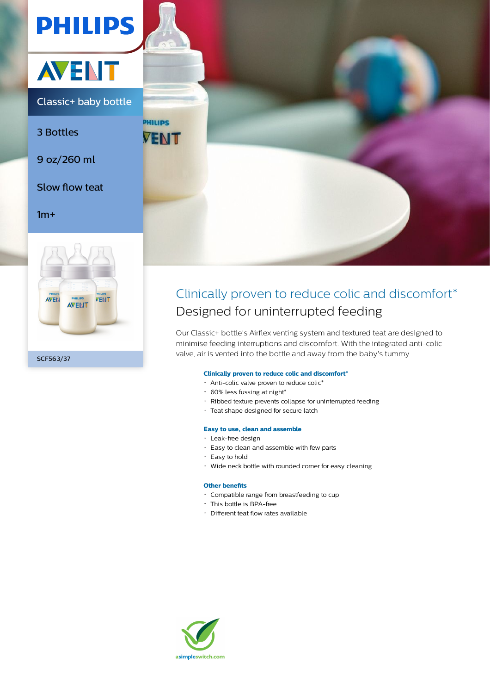



Classic+ baby bottle

3 Bottles

9 oz/260 ml

Slow flow teat

# $1m+$





# Clinically proven to reduce colic and discomfort\* Designed for uninterrupted feeding

Our Classic+ bottle's Airflex venting system and textured teat are designed to minimise feeding interruptions and discomfort. With the integrated anti-colic valve, air is vented into the bottle and away from the baby's tummy.

# **Clinically proven to reduce colic and discomfort\***

- Anti-colic valve proven to reduce colic\*
- $\cdot$  60% less fussing at night\*
- Ribbed texture prevents collapse for uninterrupted feeding
- Teat shape designed for secure latch

#### **Easy to use, clean and assemble**

- Leak-free design
- Easy to clean and assemble with few parts
- $\cdot$  Easy to hold
- Wide neck bottle with rounded corner for easy cleaning

# **Other benefits**

- Compatible range from breastfeeding to cup
- This bottle is BPA-free
- Different teat flow rates available

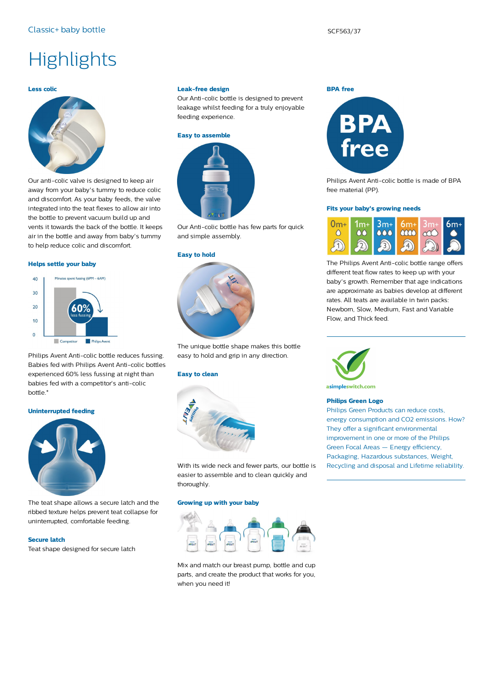# **Highlights**

#### **Less colic**



Our anti-colic valve is designed to keep air away from your baby's tummy to reduce colic and discomfort. As your baby feeds, the valve integrated into the teat flexes to allow air into the bottle to prevent vacuum build up and vents it towards the back of the bottle. It keeps air in the bottle and away from baby's tummy to help reduce colic and discomfort.

#### **Helps settle your baby**



Philips Avent Anti-colic bottle reduces fussing. Babies fed with Philips Avent Anti-colic bottles experienced 60% less fussing at night than babies fed with a competitor's anti-colic bottle.\*

#### **Uninterrupted feeding**



The teat shape allows a secure latch and the ribbed texture helps prevent teat collapse for uninterrupted, comfortable feeding.

# **Secure latch**

Teat shape designed for secure latch

#### **Leak-free design**

Our Anti-colic bottle is designed to prevent leakage whilst feeding for a truly enjoyable feeding experience.

#### **Easy to assemble**



Our Anti-colic bottle has few parts for quick and simple assembly.

#### **Easy to hold**



The unique bottle shape makes this bottle easy to hold and grip in any direction.

#### **Easy to clean**



With its wide neck and fewer parts, our bottle is easier to assemble and to clean quickly and thoroughly.

### **Growing up with your baby**



Mix and match our breast pump, bottle and cup parts, and create the product that works for you, when you need it!



Philips Avent Anti-colic bottle is made of BPA free material (PP).

#### **Fits your baby's growing needs**



The Philips Avent Anti-colic bottle range offers different teat flow rates to keep up with your baby's growth. Remember that age indications are approximate as babies develop at different rates. All teats are available in twin packs: Newborn, Slow, Medium, Fast and Variable Flow, and Thick feed.



asimpleswitch.com

# **Philips Green Logo**

Philips Green Products can reduce costs, energy consumption and CO2 emissions. How? They offer a significant environmental improvement in one or more of the Philips Green Focal Areas — Energy efficiency, Packaging, Hazardous substances, Weight, Recycling and disposal and Lifetime reliability.